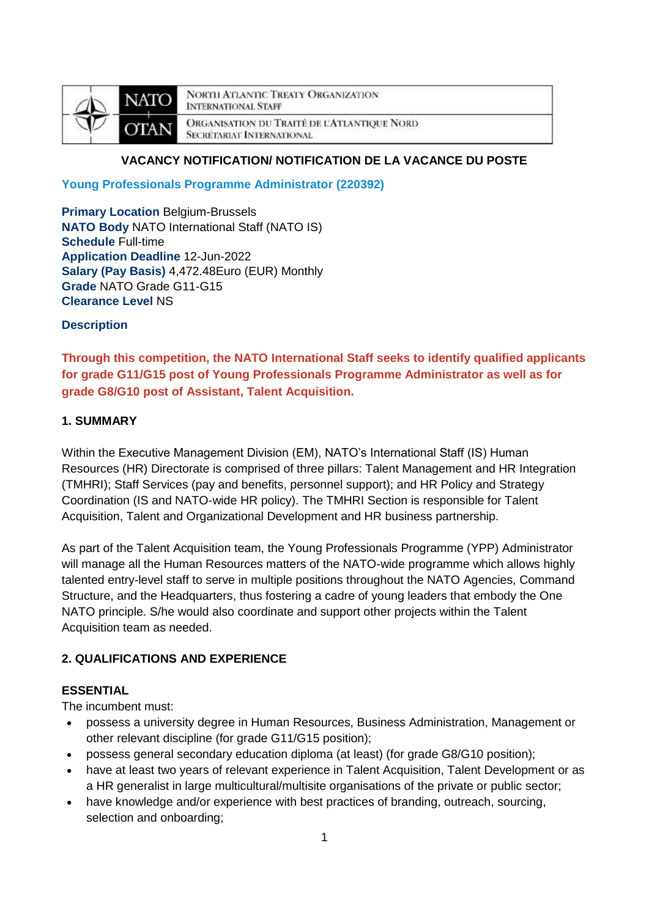

**NORTH ATLANTIC TREATY ORGANIZATION INTERNATIONAL STAFF** ORGANISATION DU TRAITÉ DE L'ATLANTIQUE NORD **SECRÉTARIAT INTERNATIONAL** 

# **VACANCY NOTIFICATION/ NOTIFICATION DE LA VACANCE DU POSTE**

**Young Professionals Programme Administrator (220392)**

**Primary Location Belgium-Brussels NATO Body** NATO International Staff (NATO IS) **Schedule** Full-time **Application Deadline** 12-Jun-2022 **Salary (Pay Basis)** 4,472.48Euro (EUR) Monthly **Grade** NATO Grade G11-G15 **Clearance Level** NS

**Description**

**Through this competition, the NATO International Staff seeks to identify qualified applicants for grade G11/G15 post of Young Professionals Programme Administrator as well as for grade G8/G10 post of Assistant, Talent Acquisition.**

## **1. SUMMARY**

Within the Executive Management Division (EM), NATO's International Staff (IS) Human Resources (HR) Directorate is comprised of three pillars: Talent Management and HR Integration (TMHRI); Staff Services (pay and benefits, personnel support); and HR Policy and Strategy Coordination (IS and NATO-wide HR policy). The TMHRI Section is responsible for Talent Acquisition, Talent and Organizational Development and HR business partnership.

As part of the Talent Acquisition team, the Young Professionals Programme (YPP) Administrator will manage all the Human Resources matters of the NATO-wide programme which allows highly talented entry-level staff to serve in multiple positions throughout the NATO Agencies, Command Structure, and the Headquarters, thus fostering a cadre of young leaders that embody the One NATO principle. S/he would also coordinate and support other projects within the Talent Acquisition team as needed.

# **2. QUALIFICATIONS AND EXPERIENCE**

# **ESSENTIAL**

The incumbent must:

- possess a university degree in Human Resources, Business Administration, Management or other relevant discipline (for grade G11/G15 position);
- possess general secondary education diploma (at least) (for grade G8/G10 position);
- have at least two years of relevant experience in Talent Acquisition, Talent Development or as a HR generalist in large multicultural/multisite organisations of the private or public sector;
- have knowledge and/or experience with best practices of branding, outreach, sourcing, selection and onboarding;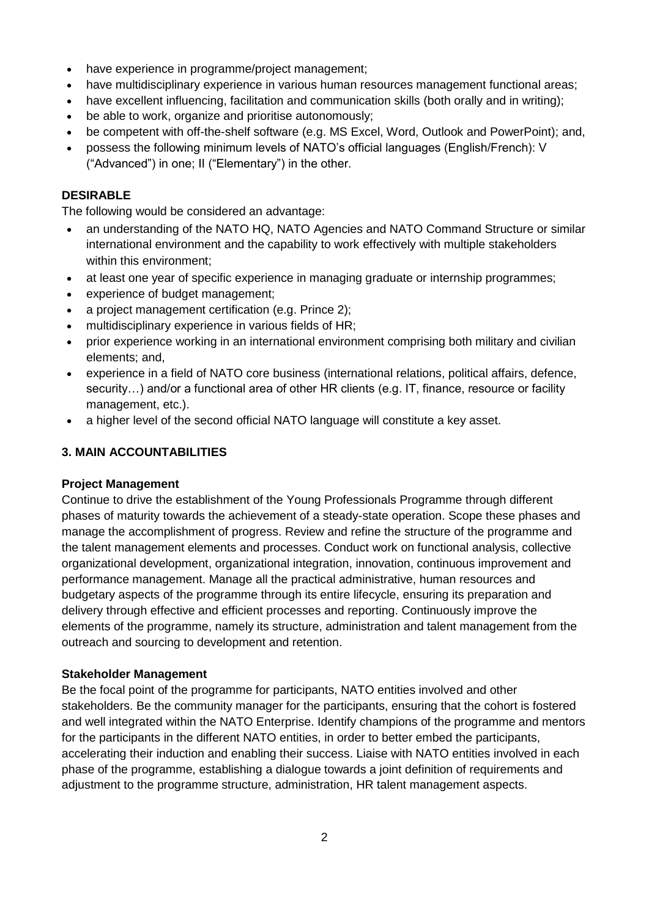- have experience in programme/project management;
- have multidisciplinary experience in various human resources management functional areas;
- have excellent influencing, facilitation and communication skills (both orally and in writing);
- be able to work, organize and prioritise autonomously;
- be competent with off-the-shelf software (e.g. MS Excel, Word, Outlook and PowerPoint); and,
- possess the following minimum levels of NATO's official languages (English/French): V ("Advanced") in one; II ("Elementary") in the other.

# **DESIRABLE**

The following would be considered an advantage:

- an understanding of the NATO HQ, NATO Agencies and NATO Command Structure or similar international environment and the capability to work effectively with multiple stakeholders within this environment;
- at least one year of specific experience in managing graduate or internship programmes;
- experience of budget management;
- a project management certification (e.g. Prince 2);
- multidisciplinary experience in various fields of HR;
- prior experience working in an international environment comprising both military and civilian elements; and,
- experience in a field of NATO core business (international relations, political affairs, defence, security...) and/or a functional area of other HR clients (e.g. IT, finance, resource or facility management, etc.).
- a higher level of the second official NATO language will constitute a key asset.

# **3. MAIN ACCOUNTABILITIES**

## **Project Management**

Continue to drive the establishment of the Young Professionals Programme through different phases of maturity towards the achievement of a steady-state operation. Scope these phases and manage the accomplishment of progress. Review and refine the structure of the programme and the talent management elements and processes. Conduct work on functional analysis, collective organizational development, organizational integration, innovation, continuous improvement and performance management. Manage all the practical administrative, human resources and budgetary aspects of the programme through its entire lifecycle, ensuring its preparation and delivery through effective and efficient processes and reporting. Continuously improve the elements of the programme, namely its structure, administration and talent management from the outreach and sourcing to development and retention.

## **Stakeholder Management**

Be the focal point of the programme for participants, NATO entities involved and other stakeholders. Be the community manager for the participants, ensuring that the cohort is fostered and well integrated within the NATO Enterprise. Identify champions of the programme and mentors for the participants in the different NATO entities, in order to better embed the participants, accelerating their induction and enabling their success. Liaise with NATO entities involved in each phase of the programme, establishing a dialogue towards a joint definition of requirements and adjustment to the programme structure, administration, HR talent management aspects.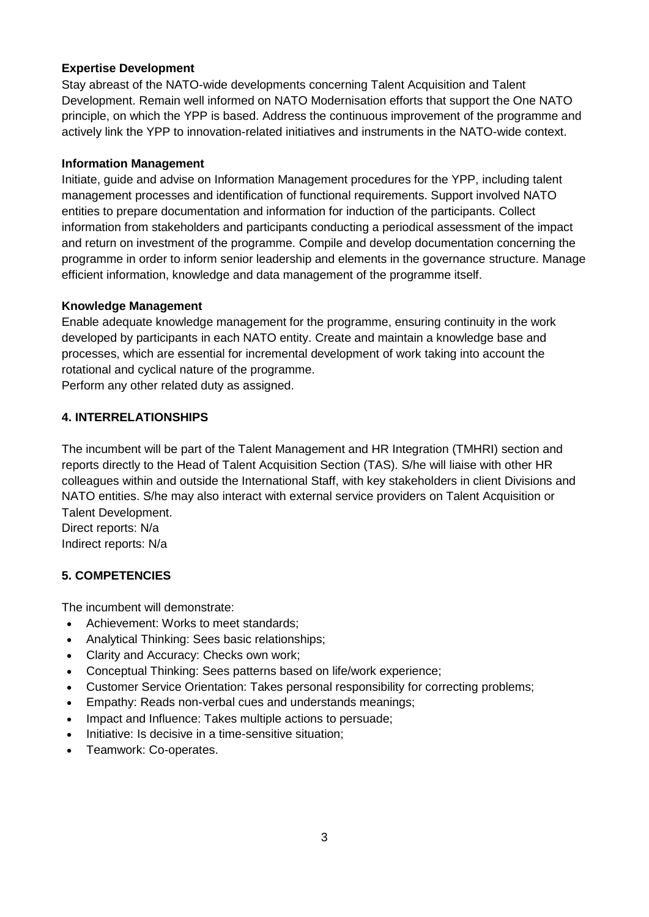# **Expertise Development**

Stay abreast of the NATO-wide developments concerning Talent Acquisition and Talent Development. Remain well informed on NATO Modernisation efforts that support the One NATO principle, on which the YPP is based. Address the continuous improvement of the programme and actively link the YPP to innovation-related initiatives and instruments in the NATO-wide context.

## **Information Management**

Initiate, guide and advise on Information Management procedures for the YPP, including talent management processes and identification of functional requirements. Support involved NATO entities to prepare documentation and information for induction of the participants. Collect information from stakeholders and participants conducting a periodical assessment of the impact and return on investment of the programme. Compile and develop documentation concerning the programme in order to inform senior leadership and elements in the governance structure. Manage efficient information, knowledge and data management of the programme itself.

## **Knowledge Management**

Enable adequate knowledge management for the programme, ensuring continuity in the work developed by participants in each NATO entity. Create and maintain a knowledge base and processes, which are essential for incremental development of work taking into account the rotational and cyclical nature of the programme.

Perform any other related duty as assigned.

# **4. INTERRELATIONSHIPS**

The incumbent will be part of the Talent Management and HR Integration (TMHRI) section and reports directly to the Head of Talent Acquisition Section (TAS). S/he will liaise with other HR colleagues within and outside the International Staff, with key stakeholders in client Divisions and NATO entities. S/he may also interact with external service providers on Talent Acquisition or Talent Development.

Direct reports: N/a Indirect reports: N/a

# **5. COMPETENCIES**

The incumbent will demonstrate:

- Achievement: Works to meet standards;
- Analytical Thinking: Sees basic relationships;
- Clarity and Accuracy: Checks own work;
- Conceptual Thinking: Sees patterns based on life/work experience;
- Customer Service Orientation: Takes personal responsibility for correcting problems;
- Empathy: Reads non-verbal cues and understands meanings;
- Impact and Influence: Takes multiple actions to persuade;
- Initiative: Is decisive in a time-sensitive situation;
- Teamwork: Co-operates.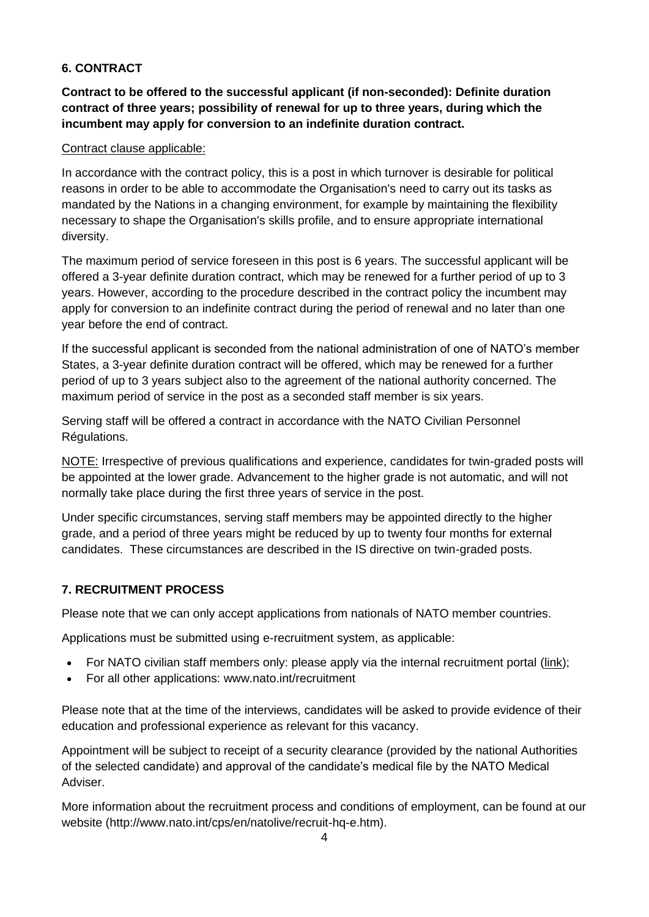# **6. CONTRACT**

**Contract to be offered to the successful applicant (if non-seconded): Definite duration contract of three years; possibility of renewal for up to three years, during which the incumbent may apply for conversion to an indefinite duration contract.**

## Contract clause applicable:

In accordance with the contract policy, this is a post in which turnover is desirable for political reasons in order to be able to accommodate the Organisation's need to carry out its tasks as mandated by the Nations in a changing environment, for example by maintaining the flexibility necessary to shape the Organisation's skills profile, and to ensure appropriate international diversity.

The maximum period of service foreseen in this post is 6 years. The successful applicant will be offered a 3-year definite duration contract, which may be renewed for a further period of up to 3 years. However, according to the procedure described in the contract policy the incumbent may apply for conversion to an indefinite contract during the period of renewal and no later than one year before the end of contract.

If the successful applicant is seconded from the national administration of one of NATO's member States, a 3-year definite duration contract will be offered, which may be renewed for a further period of up to 3 years subject also to the agreement of the national authority concerned. The maximum period of service in the post as a seconded staff member is six years.

Serving staff will be offered a contract in accordance with the NATO Civilian Personnel Régulations.

NOTE: Irrespective of previous qualifications and experience, candidates for twin-graded posts will be appointed at the lower grade. Advancement to the higher grade is not automatic, and will not normally take place during the first three years of service in the post.

Under specific circumstances, serving staff members may be appointed directly to the higher grade, and a period of three years might be reduced by up to twenty four months for external candidates. These circumstances are described in the IS directive on twin-graded posts.

## **7. RECRUITMENT PROCESS**

Please note that we can only accept applications from nationals of NATO member countries.

Applications must be submitted using e-recruitment system, as applicable:

- For NATO civilian staff members only: please apply via the internal recruitment portal [\(link\)](https://nato.taleo.net/careersection/1/jobsearch.ftl?lang=en);
- For all other applications: www.nato.int/recruitment

Please note that at the time of the interviews, candidates will be asked to provide evidence of their education and professional experience as relevant for this vacancy.

Appointment will be subject to receipt of a security clearance (provided by the national Authorities of the selected candidate) and approval of the candidate's medical file by the NATO Medical Adviser.

More information about the recruitment process and conditions of employment, can be found at our website (http://www.nato.int/cps/en/natolive/recruit-hq-e.htm).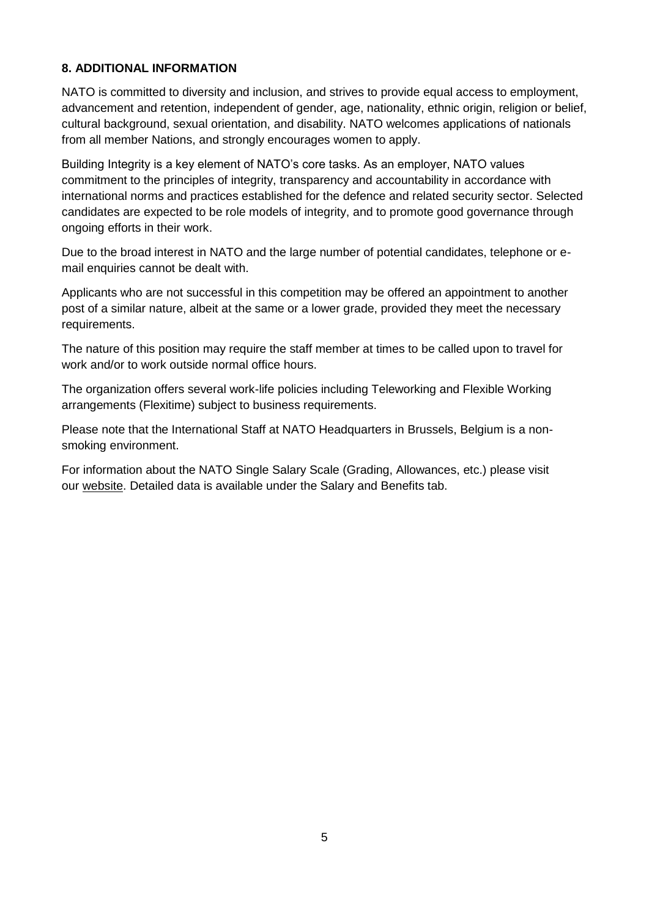# **8. ADDITIONAL INFORMATION**

NATO is committed to diversity and inclusion, and strives to provide equal access to employment, advancement and retention, independent of gender, age, nationality, ethnic origin, religion or belief, cultural background, sexual orientation, and disability. NATO welcomes applications of nationals from all member Nations, and strongly encourages women to apply.

Building Integrity is a key element of NATO's core tasks. As an employer, NATO values commitment to the principles of integrity, transparency and accountability in accordance with international norms and practices established for the defence and related security sector. Selected candidates are expected to be role models of integrity, and to promote good governance through ongoing efforts in their work.

Due to the broad interest in NATO and the large number of potential candidates, telephone or email enquiries cannot be dealt with.

Applicants who are not successful in this competition may be offered an appointment to another post of a similar nature, albeit at the same or a lower grade, provided they meet the necessary requirements.

The nature of this position may require the staff member at times to be called upon to travel for work and/or to work outside normal office hours.

The organization offers several work-life policies including Teleworking and Flexible Working arrangements (Flexitime) subject to business requirements.

Please note that the International Staff at NATO Headquarters in Brussels, Belgium is a nonsmoking environment.

For information about the NATO Single Salary Scale (Grading, Allowances, etc.) please visit our [website.](https://www.nato.int/cps/en/natolive/86790.htm) Detailed data is available under the Salary and Benefits tab.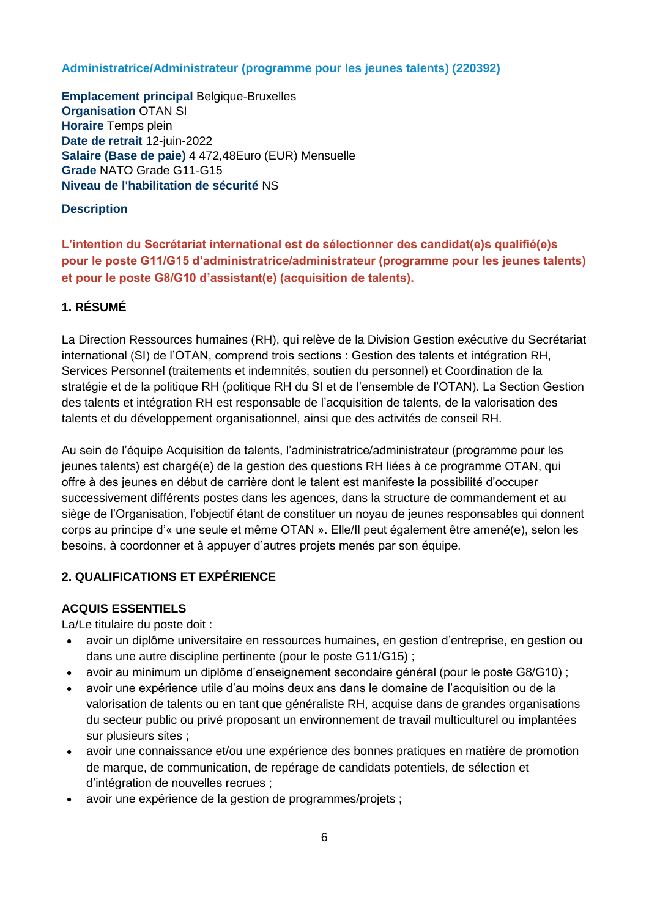## **Administratrice/Administrateur (programme pour les jeunes talents) (220392)**

**Emplacement principal** Belgique-Bruxelles **Organisation** OTAN SI **Horaire** Temps plein **Date de retrait** 12-juin-2022 **Salaire (Base de paie)** 4 472,48Euro (EUR) Mensuelle **Grade** NATO Grade G11-G15 **Niveau de l'habilitation de sécurité** NS

## **Description**

**L'intention du Secrétariat international est de sélectionner des candidat(e)s qualifié(e)s pour le poste G11/G15 d'administratrice/administrateur (programme pour les jeunes talents) et pour le poste G8/G10 d'assistant(e) (acquisition de talents).**

# **1. RÉSUMÉ**

La Direction Ressources humaines (RH), qui relève de la Division Gestion exécutive du Secrétariat international (SI) de l'OTAN, comprend trois sections : Gestion des talents et intégration RH, Services Personnel (traitements et indemnités, soutien du personnel) et Coordination de la stratégie et de la politique RH (politique RH du SI et de l'ensemble de l'OTAN). La Section Gestion des talents et intégration RH est responsable de l'acquisition de talents, de la valorisation des talents et du développement organisationnel, ainsi que des activités de conseil RH.

Au sein de l'équipe Acquisition de talents, l'administratrice/administrateur (programme pour les jeunes talents) est chargé(e) de la gestion des questions RH liées à ce programme OTAN, qui offre à des jeunes en début de carrière dont le talent est manifeste la possibilité d'occuper successivement différents postes dans les agences, dans la structure de commandement et au siège de l'Organisation, l'objectif étant de constituer un noyau de jeunes responsables qui donnent corps au principe d'« une seule et même OTAN ». Elle/Il peut également être amené(e), selon les besoins, à coordonner et à appuyer d'autres projets menés par son équipe.

# **2. QUALIFICATIONS ET EXPÉRIENCE**

# **ACQUIS ESSENTIELS**

La/Le titulaire du poste doit :

- avoir un diplôme universitaire en ressources humaines, en gestion d'entreprise, en gestion ou dans une autre discipline pertinente (pour le poste G11/G15) ;
- avoir au minimum un diplôme d'enseignement secondaire général (pour le poste G8/G10) ;
- avoir une expérience utile d'au moins deux ans dans le domaine de l'acquisition ou de la valorisation de talents ou en tant que généraliste RH, acquise dans de grandes organisations du secteur public ou privé proposant un environnement de travail multiculturel ou implantées sur plusieurs sites ;
- avoir une connaissance et/ou une expérience des bonnes pratiques en matière de promotion de marque, de communication, de repérage de candidats potentiels, de sélection et d'intégration de nouvelles recrues ;
- avoir une expérience de la gestion de programmes/projets ;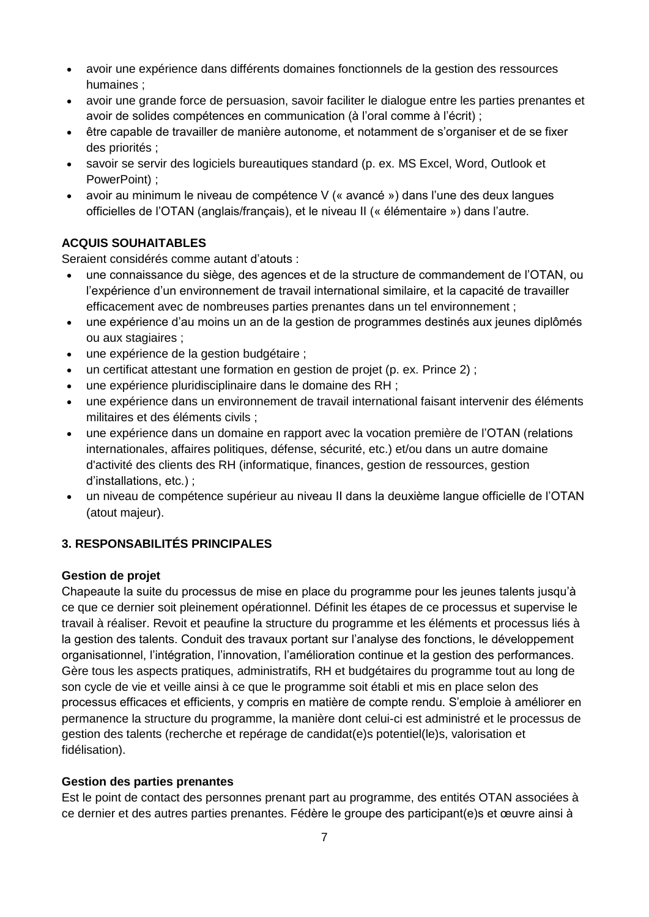- avoir une expérience dans différents domaines fonctionnels de la gestion des ressources humaines ;
- avoir une grande force de persuasion, savoir faciliter le dialogue entre les parties prenantes et avoir de solides compétences en communication (à l'oral comme à l'écrit) ;
- être capable de travailler de manière autonome, et notamment de s'organiser et de se fixer des priorités ;
- savoir se servir des logiciels bureautiques standard (p. ex. MS Excel, Word, Outlook et PowerPoint) ;
- avoir au minimum le niveau de compétence V (« avancé ») dans l'une des deux langues officielles de l'OTAN (anglais/français), et le niveau II (« élémentaire ») dans l'autre.

# **ACQUIS SOUHAITABLES**

Seraient considérés comme autant d'atouts :

- une connaissance du siège, des agences et de la structure de commandement de l'OTAN, ou l'expérience d'un environnement de travail international similaire, et la capacité de travailler efficacement avec de nombreuses parties prenantes dans un tel environnement ;
- une expérience d'au moins un an de la gestion de programmes destinés aux jeunes diplômés ou aux stagiaires ;
- une expérience de la gestion budgétaire ;
- un certificat attestant une formation en gestion de projet (p. ex. Prince 2) ;
- une expérience pluridisciplinaire dans le domaine des RH ;
- une expérience dans un environnement de travail international faisant intervenir des éléments militaires et des éléments civils ;
- une expérience dans un domaine en rapport avec la vocation première de l'OTAN (relations internationales, affaires politiques, défense, sécurité, etc.) et/ou dans un autre domaine d'activité des clients des RH (informatique, finances, gestion de ressources, gestion d'installations, etc.) ;
- un niveau de compétence supérieur au niveau II dans la deuxième langue officielle de l'OTAN (atout majeur).

# **3. RESPONSABILITÉS PRINCIPALES**

# **Gestion de projet**

Chapeaute la suite du processus de mise en place du programme pour les jeunes talents jusqu'à ce que ce dernier soit pleinement opérationnel. Définit les étapes de ce processus et supervise le travail à réaliser. Revoit et peaufine la structure du programme et les éléments et processus liés à la gestion des talents. Conduit des travaux portant sur l'analyse des fonctions, le développement organisationnel, l'intégration, l'innovation, l'amélioration continue et la gestion des performances. Gère tous les aspects pratiques, administratifs, RH et budgétaires du programme tout au long de son cycle de vie et veille ainsi à ce que le programme soit établi et mis en place selon des processus efficaces et efficients, y compris en matière de compte rendu. S'emploie à améliorer en permanence la structure du programme, la manière dont celui-ci est administré et le processus de gestion des talents (recherche et repérage de candidat(e)s potentiel(le)s, valorisation et fidélisation).

# **Gestion des parties prenantes**

Est le point de contact des personnes prenant part au programme, des entités OTAN associées à ce dernier et des autres parties prenantes. Fédère le groupe des participant(e)s et œuvre ainsi à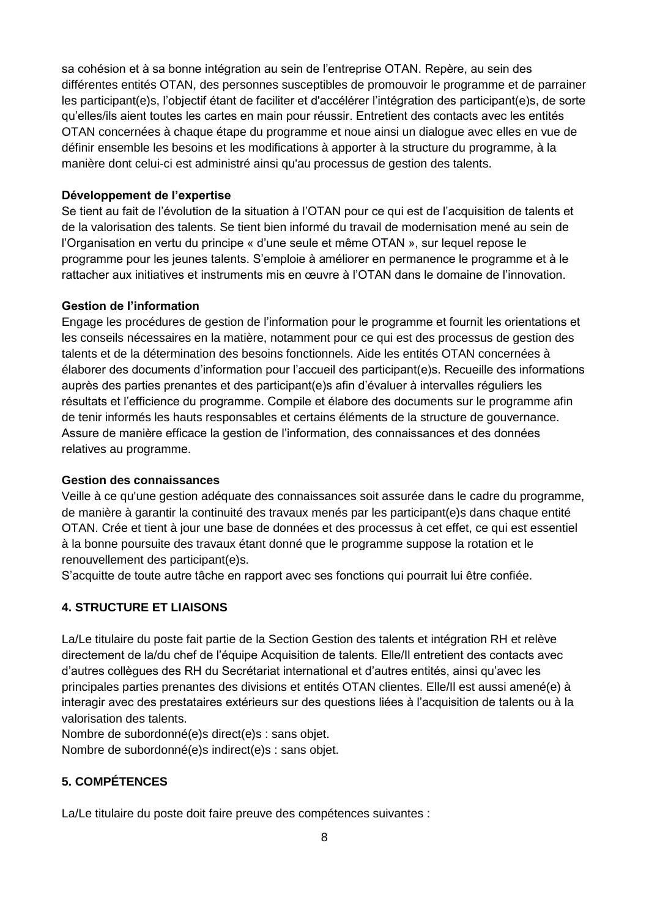sa cohésion et à sa bonne intégration au sein de l'entreprise OTAN. Repère, au sein des différentes entités OTAN, des personnes susceptibles de promouvoir le programme et de parrainer les participant(e)s, l'objectif étant de faciliter et d'accélérer l'intégration des participant(e)s, de sorte qu'elles/ils aient toutes les cartes en main pour réussir. Entretient des contacts avec les entités OTAN concernées à chaque étape du programme et noue ainsi un dialogue avec elles en vue de définir ensemble les besoins et les modifications à apporter à la structure du programme, à la manière dont celui-ci est administré ainsi qu'au processus de gestion des talents.

#### **Développement de l'expertise**

Se tient au fait de l'évolution de la situation à l'OTAN pour ce qui est de l'acquisition de talents et de la valorisation des talents. Se tient bien informé du travail de modernisation mené au sein de l'Organisation en vertu du principe « d'une seule et même OTAN », sur lequel repose le programme pour les jeunes talents. S'emploie à améliorer en permanence le programme et à le rattacher aux initiatives et instruments mis en œuvre à l'OTAN dans le domaine de l'innovation.

#### **Gestion de l'information**

Engage les procédures de gestion de l'information pour le programme et fournit les orientations et les conseils nécessaires en la matière, notamment pour ce qui est des processus de gestion des talents et de la détermination des besoins fonctionnels. Aide les entités OTAN concernées à élaborer des documents d'information pour l'accueil des participant(e)s. Recueille des informations auprès des parties prenantes et des participant(e)s afin d'évaluer à intervalles réguliers les résultats et l'efficience du programme. Compile et élabore des documents sur le programme afin de tenir informés les hauts responsables et certains éléments de la structure de gouvernance. Assure de manière efficace la gestion de l'information, des connaissances et des données relatives au programme.

#### **Gestion des connaissances**

Veille à ce qu'une gestion adéquate des connaissances soit assurée dans le cadre du programme, de manière à garantir la continuité des travaux menés par les participant(e)s dans chaque entité OTAN. Crée et tient à jour une base de données et des processus à cet effet, ce qui est essentiel à la bonne poursuite des travaux étant donné que le programme suppose la rotation et le renouvellement des participant(e)s.

S'acquitte de toute autre tâche en rapport avec ses fonctions qui pourrait lui être confiée.

## **4. STRUCTURE ET LIAISONS**

La/Le titulaire du poste fait partie de la Section Gestion des talents et intégration RH et relève directement de la/du chef de l'équipe Acquisition de talents. Elle/Il entretient des contacts avec d'autres collègues des RH du Secrétariat international et d'autres entités, ainsi qu'avec les principales parties prenantes des divisions et entités OTAN clientes. Elle/Il est aussi amené(e) à interagir avec des prestataires extérieurs sur des questions liées à l'acquisition de talents ou à la valorisation des talents.

Nombre de subordonné(e)s direct(e)s : sans objet.

Nombre de subordonné(e)s indirect(e)s : sans objet.

# **5. COMPÉTENCES**

La/Le titulaire du poste doit faire preuve des compétences suivantes :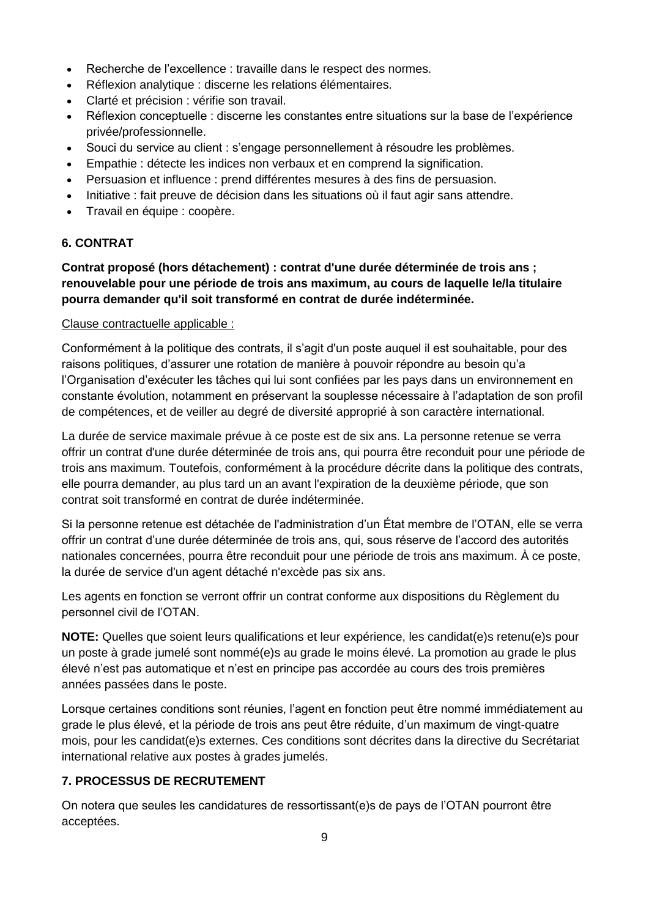- Recherche de l'excellence : travaille dans le respect des normes.
- Réflexion analytique : discerne les relations élémentaires.
- Clarté et précision : vérifie son travail.
- Réflexion conceptuelle : discerne les constantes entre situations sur la base de l'expérience privée/professionnelle.
- Souci du service au client : s'engage personnellement à résoudre les problèmes.
- Empathie : détecte les indices non verbaux et en comprend la signification.
- Persuasion et influence : prend différentes mesures à des fins de persuasion.
- Initiative : fait preuve de décision dans les situations où il faut agir sans attendre.
- Travail en équipe : coopère.

## **6. CONTRAT**

# **Contrat proposé (hors détachement) : contrat d'une durée déterminée de trois ans ; renouvelable pour une période de trois ans maximum, au cours de laquelle le/la titulaire pourra demander qu'il soit transformé en contrat de durée indéterminée.**

## Clause contractuelle applicable :

Conformément à la politique des contrats, il s'agit d'un poste auquel il est souhaitable, pour des raisons politiques, d'assurer une rotation de manière à pouvoir répondre au besoin qu'a l'Organisation d'exécuter les tâches qui lui sont confiées par les pays dans un environnement en constante évolution, notamment en préservant la souplesse nécessaire à l'adaptation de son profil de compétences, et de veiller au degré de diversité approprié à son caractère international.

La durée de service maximale prévue à ce poste est de six ans. La personne retenue se verra offrir un contrat d'une durée déterminée de trois ans, qui pourra être reconduit pour une période de trois ans maximum. Toutefois, conformément à la procédure décrite dans la politique des contrats, elle pourra demander, au plus tard un an avant l'expiration de la deuxième période, que son contrat soit transformé en contrat de durée indéterminée.

Si la personne retenue est détachée de l'administration d'un État membre de l'OTAN, elle se verra offrir un contrat d'une durée déterminée de trois ans, qui, sous réserve de l'accord des autorités nationales concernées, pourra être reconduit pour une période de trois ans maximum. À ce poste, la durée de service d'un agent détaché n'excède pas six ans.

Les agents en fonction se verront offrir un contrat conforme aux dispositions du Règlement du personnel civil de l'OTAN.

**NOTE:** Quelles que soient leurs qualifications et leur expérience, les candidat(e)s retenu(e)s pour un poste à grade jumelé sont nommé(e)s au grade le moins élevé. La promotion au grade le plus élevé n'est pas automatique et n'est en principe pas accordée au cours des trois premières années passées dans le poste.

Lorsque certaines conditions sont réunies, l'agent en fonction peut être nommé immédiatement au grade le plus élevé, et la période de trois ans peut être réduite, d'un maximum de vingt-quatre mois, pour les candidat(e)s externes. Ces conditions sont décrites dans la directive du Secrétariat international relative aux postes à grades jumelés.

## **7. PROCESSUS DE RECRUTEMENT**

On notera que seules les candidatures de ressortissant(e)s de pays de l'OTAN pourront être acceptées.